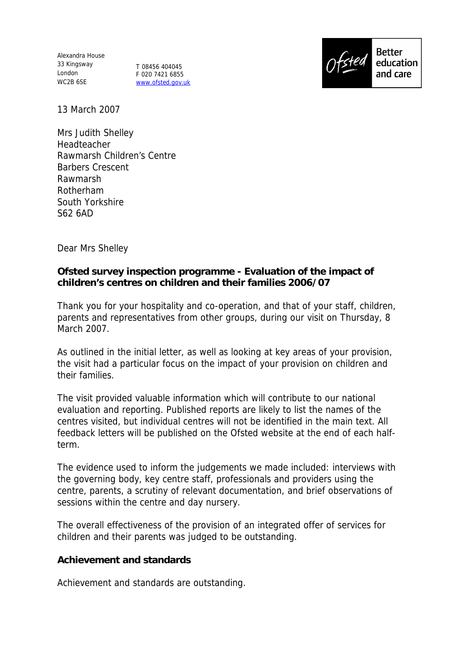Alexandra House 33 Kingsway London WC2B 6SE

T 08456 404045 F 020 7421 6855 www.ofsted.gov.uk



13 March 2007

Mrs Judith Shelley Headteacher Rawmarsh Children's Centre Barbers Crescent Rawmarsh Rotherham South Yorkshire S62 6AD

Dear Mrs Shelley

**Ofsted survey inspection programme - Evaluation of the impact of children's centres on children and their families 2006/07**

Thank you for your hospitality and co-operation, and that of your staff, children, parents and representatives from other groups, during our visit on Thursday, 8 March 2007.

As outlined in the initial letter, as well as looking at key areas of your provision, the visit had a particular focus on the impact of your provision on children and their families.

The visit provided valuable information which will contribute to our national evaluation and reporting. Published reports are likely to list the names of the centres visited, but individual centres will not be identified in the main text. All feedback letters will be published on the Ofsted website at the end of each halfterm.

The evidence used to inform the judgements we made included: interviews with the governing body, key centre staff, professionals and providers using the centre, parents, a scrutiny of relevant documentation, and brief observations of sessions within the centre and day nursery.

The overall effectiveness of the provision of an integrated offer of services for children and their parents was judged to be outstanding.

**Achievement and standards**

Achievement and standards are outstanding.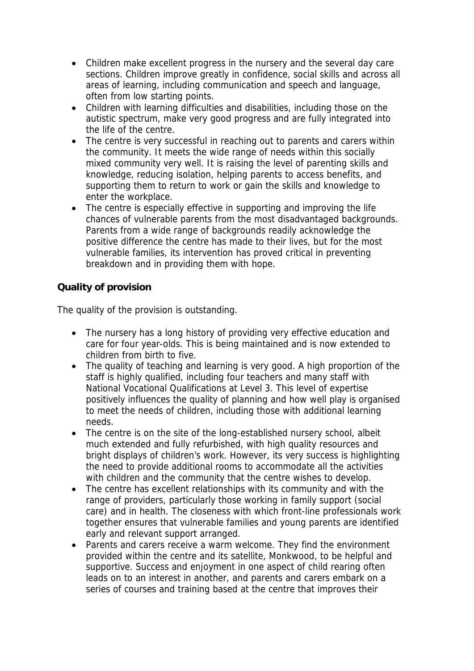- Children make excellent progress in the nursery and the several day care sections. Children improve greatly in confidence, social skills and across all areas of learning, including communication and speech and language, often from low starting points.
- Children with learning difficulties and disabilities, including those on the autistic spectrum, make very good progress and are fully integrated into the life of the centre.
- The centre is very successful in reaching out to parents and carers within the community. It meets the wide range of needs within this socially mixed community very well. It is raising the level of parenting skills and knowledge, reducing isolation, helping parents to access benefits, and supporting them to return to work or gain the skills and knowledge to enter the workplace.
- The centre is especially effective in supporting and improving the life chances of vulnerable parents from the most disadvantaged backgrounds. Parents from a wide range of backgrounds readily acknowledge the positive difference the centre has made to their lives, but for the most vulnerable families, its intervention has proved critical in preventing breakdown and in providing them with hope.

## **Quality of provision**

The quality of the provision is outstanding.

- The nursery has a long history of providing very effective education and care for four year-olds. This is being maintained and is now extended to children from birth to five.
- The quality of teaching and learning is very good. A high proportion of the staff is highly qualified, including four teachers and many staff with National Vocational Qualifications at Level 3. This level of expertise positively influences the quality of planning and how well play is organised to meet the needs of children, including those with additional learning needs.
- The centre is on the site of the long-established nursery school, albeit much extended and fully refurbished, with high quality resources and bright displays of children's work. However, its very success is highlighting the need to provide additional rooms to accommodate all the activities with children and the community that the centre wishes to develop.
- The centre has excellent relationships with its community and with the range of providers, particularly those working in family support (social care) and in health. The closeness with which front-line professionals work together ensures that vulnerable families and young parents are identified early and relevant support arranged.
- Parents and carers receive a warm welcome. They find the environment provided within the centre and its satellite, Monkwood, to be helpful and supportive. Success and enjoyment in one aspect of child rearing often leads on to an interest in another, and parents and carers embark on a series of courses and training based at the centre that improves their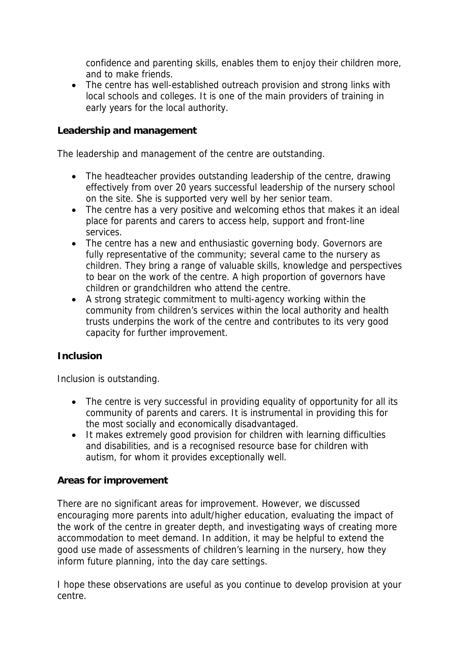confidence and parenting skills, enables them to enjoy their children more, and to make friends.

• The centre has well-established outreach provision and strong links with local schools and colleges. It is one of the main providers of training in early years for the local authority.

**Leadership and management**

The leadership and management of the centre are outstanding.

- The headteacher provides outstanding leadership of the centre, drawing effectively from over 20 years successful leadership of the nursery school on the site. She is supported very well by her senior team.
- The centre has a very positive and welcoming ethos that makes it an ideal place for parents and carers to access help, support and front-line services.
- The centre has a new and enthusiastic governing body. Governors are fully representative of the community; several came to the nursery as children. They bring a range of valuable skills, knowledge and perspectives to bear on the work of the centre. A high proportion of governors have children or grandchildren who attend the centre.
- A strong strategic commitment to multi-agency working within the community from children's services within the local authority and health trusts underpins the work of the centre and contributes to its very good capacity for further improvement.

## **Inclusion**

Inclusion is outstanding.

- The centre is very successful in providing equality of opportunity for all its community of parents and carers. It is instrumental in providing this for the most socially and economically disadvantaged.
- It makes extremely good provision for children with learning difficulties and disabilities, and is a recognised resource base for children with autism, for whom it provides exceptionally well.

## **Areas for improvement**

There are no significant areas for improvement. However, we discussed encouraging more parents into adult/higher education, evaluating the impact of the work of the centre in greater depth, and investigating ways of creating more accommodation to meet demand. In addition, it may be helpful to extend the good use made of assessments of children's learning in the nursery, how they inform future planning, into the day care settings.

I hope these observations are useful as you continue to develop provision at your centre.